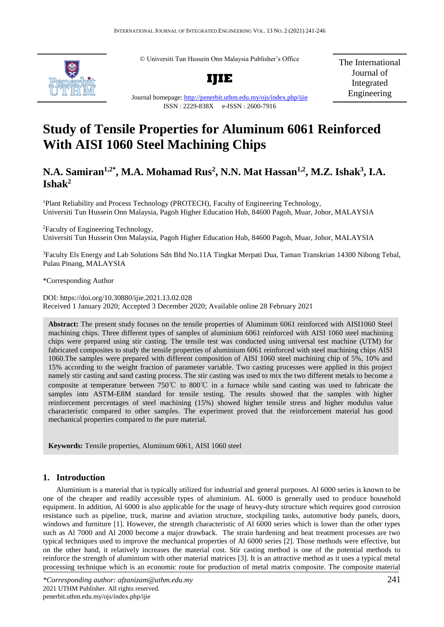© Universiti Tun Hussein Onn Malaysia Publisher's Office



**IJIE**

The International Journal of Integrated Engineering

Journal homepage:<http://penerbit.uthm.edu.my/ojs/index.php/ijie> ISSN : 2229-838X e-ISSN : 2600-7916

# **Study of Tensile Properties for Aluminum 6061 Reinforced With AISI 1060 Steel Machining Chips**

# **N.A. Samiran1,2\* , M.A. Mohamad Rus<sup>2</sup> , N.N. Mat Hassan1,2, M.Z. Ishak<sup>3</sup> , I.A. Ishak<sup>2</sup>**

<sup>1</sup>Plant Reliability and Process Technology (PROTECH), Faculty of Engineering Technology, Universiti Tun Hussein Onn Malaysia, Pagoh Higher Education Hub, 84600 Pagoh, Muar, Johor, MALAYSIA

<sup>2</sup>Faculty of Engineering Technology, Universiti Tun Hussein Onn Malaysia, Pagoh Higher Education Hub, 84600 Pagoh, Muar, Johor, MALAYSIA

<sup>3</sup>Faculty Els Energy and Lab Solutions Sdn Bhd No.11A Tingkat Merpati Dua, Taman Transkrian 14300 Nibong Tebal, Pulau Pinang, MALAYSIA

\*Corresponding Author

DOI: https://doi.org/10.30880/ijie.2021.13.02.028 Received 1 January 2020; Accepted 3 December 2020; Available online 28 February 2021

**Abstract:** The present study focuses on the tensile properties of Aluminum 6061 reinforced with AISI1060 Steel machining chips. Three different types of samples of aluminium 6061 reinforced with AISI 1060 steel machining chips were prepared using stir casting. The tensile test was conducted using universal test machine (UTM) for fabricated composites to study the tensile properties of aluminium 6061 reinforced with steel machining chips AISI 1060.The samples were prepared with different composition of AISI 1060 steel machining chip of 5%, 10% and 15% according to the weight fraction of parameter variable. Two casting processes were applied in this project namely stir casting and sand casting process. The stir casting was used to mix the two different metals to become a composite at temperature between 750℃ to 800℃ in a furnace while sand casting was used to fabricate the samples into ASTM-E8M standard for tensile testing. The results showed that the samples with higher reinforcement percentages of steel machining (15%) showed higher tensile stress and higher modulus value characteristic compared to other samples. The experiment proved that the reinforcement material has good mechanical properties compared to the pure material.

**Keywords:** Tensile properties, Aluminum 6061, AISI 1060 steel

# **1. Introduction**

Aluminium is a material that is typically utilized for industrial and general purposes. Al 6000 series is known to be one of the cheaper and readily accessible types of aluminium. AL 6000 is generally used to produce household equipment. In addition, Al 6000 is also applicable for the usage of heavy-duty structure which requires good corrosion resistance such as pipeline, truck, marine and aviation structure, stockpiling tanks, automotive body panels, doors, windows and furniture [1]. However, the strength characteristic of Al 6000 series which is lower than the other types such as Al 7000 and Al 2000 become a major drawback. The strain hardening and heat treatment processes are two typical techniques used to improve the mechanical properties of Al 6000 series [2]. Those methods were effective, but on the other hand, it relatively increases the material cost. Stir casting method is one of the potential methods to reinforce the strength of aluminium with other material matrices [3]. It is an attractive method as it uses a typical metal processing technique which is an economic route for production of metal matrix composite. The composite material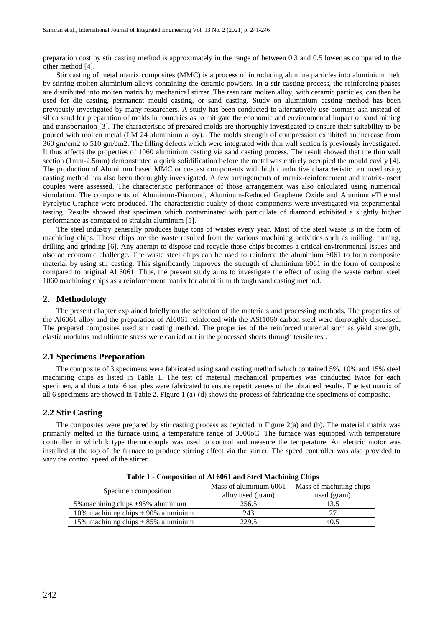preparation cost by stir casting method is approximately in the range of between 0.3 and 0.5 lower as compared to the other method [4].

Stir casting of metal matrix composites (MMC) is a process of introducing alumina particles into aluminium melt by stirring molten aluminium alloys containing the ceramic powders. In a stir casting process, the reinforcing phases are distributed into molten matrix by mechanical stirrer. The resultant molten alloy, with ceramic particles, can then be used for die casting, permanent mould casting, or sand casting. Study on aluminium casting method has been previously investigated by many researchers. A study has been conducted to alternatively use biomass ash instead of silica sand for preparation of molds in foundries as to mitigate the economic and environmental impact of sand mining and transportation [3]. The characteristic of prepared molds are thoroughly investigated to ensure their suitability to be poured with molten metal (LM 24 aluminium alloy). The molds strength of compression exhibited an increase from 360 gm/cm2 to 510 gm/cm2. The filling defects which were integrated with thin wall section is previously investigated. It thus affects the properties of 1060 aluminium casting via sand casting process. The result showed that the thin wall section (1mm-2.5mm) demonstrated a quick solidification before the metal was entirely occupied the mould cavity [4]. The production of Aluminum based MMC or co-cast components with high conductive characteristic produced using casting method has also been thoroughly investigated. A few arrangements of matrix-reinforcement and matrix-insert couples were assessed. The characteristic performance of those arrangement was also calculated using numerical simulation. The components of Aluminum-Diamond, Aluminum-Reduced Graphene Oxide and Aluminum-Thermal Pyrolytic Graphite were produced. The characteristic quality of those components were investigated via experimental testing. Results showed that specimen which contaminated with particulate of diamond exhibited a slightly higher performance as compared to straight aluminum [5].

The steel industry generally produces huge tons of wastes every year. Most of the steel waste is in the form of machining chips. Those chips are the waste resulted from the various machining activities such as milling, turning, drilling and grinding [6]. Any attempt to dispose and recycle those chips becomes a critical environmental issues and also an economic challenge. The waste steel chips can be used to reinforce the aluminium 6061 to form composite material by using stir casting. This significantly improves the strength of aluminium 6061 in the form of composite compared to original Al 6061. Thus, the present study aims to investigate the effect of using the waste carbon steel 1060 machining chips as a reinforcement matrix for aluminium through sand casting method.

#### **2. Methodology**

The present chapter explained briefly on the selection of the materials and processing methods. The properties of the Al6061 alloy and the preparation of Al6061 reinforced with the ASI1060 carbon steel were thoroughly discussed. The prepared composites used stir casting method. The properties of the reinforced material such as yield strength, elastic modulus and ultimate stress were carried out in the processed sheets through tensile test.

#### **2.1 Specimens Preparation**

The composite of 3 specimens were fabricated using sand casting method which contained 5%, 10% and 15% steel machining chips as listed in Table 1. The test of material mechanical properties was conducted twice for each specimen, and thus a total 6 samples were fabricated to ensure repetitiveness of the obtained results. The test matrix of all 6 specimens are showed in Table 2. Figure 1 (a)-(d) shows the process of fabricating the specimens of composite.

#### **2.2 Stir Casting**

The composites were prepared by stir casting process as depicted in Figure 2(a) and (b). The material matrix was primarily melted in the furnace using a temperature range of 3000oC. The furnace was equipped with temperature controller in which k type thermocouple was used to control and measure the temperature. An electric motor was installed at the top of the furnace to produce stirring effect via the stirrer. The speed controller was also provided to vary the control speed of the stirrer.

| Table 1 - Composition of Al 6061 and Steel Machining Chips |                        |                         |  |  |  |  |  |
|------------------------------------------------------------|------------------------|-------------------------|--|--|--|--|--|
|                                                            | Mass of aluminium 6061 | Mass of machining chips |  |  |  |  |  |
| Specimen composition                                       | alloy used (gram)      | used (gram)             |  |  |  |  |  |
| 5% machining chips +95% aluminium                          | 256.5                  | 13.5                    |  |  |  |  |  |
| 10% machining chips $+$ 90% aluminium                      | 243                    | 27                      |  |  |  |  |  |
| 15% machining chips $+85%$ aluminium                       | 229.5                  | 40.5                    |  |  |  |  |  |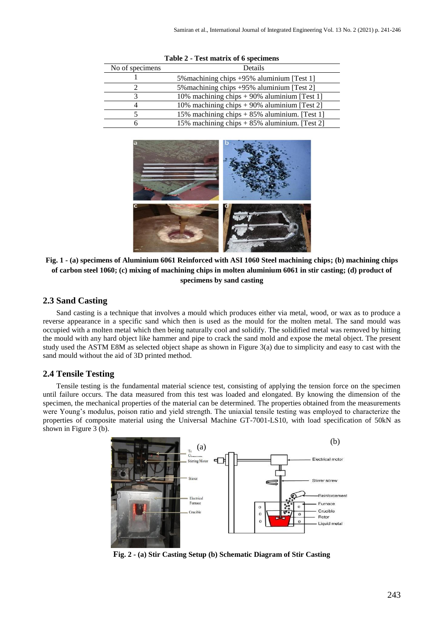| No of specimens | Details                                        |  |  |  |
|-----------------|------------------------------------------------|--|--|--|
|                 | 5% machining chips +95% aluminium [Test 1]     |  |  |  |
|                 | 5% machining chips +95% aluminium [Test 2]     |  |  |  |
| 2               | 10% machining chips $+90\%$ aluminium [Test 1] |  |  |  |
|                 | 10% machining chips $+90\%$ aluminium [Test 2] |  |  |  |
|                 | 15% machining chips $+85%$ aluminium. [Test 1] |  |  |  |
| h               | 15% machining chips + 85% aluminium. [Test 2]  |  |  |  |

**Table 2 - Test matrix of 6 specimens**



**Fig. 1** *-* **(a) specimens of Aluminium 6061 Reinforced with ASI 1060 Steel machining chips; (b) machining chips of carbon steel 1060; (c) mixing of machining chips in molten aluminium 6061 in stir casting; (d) product of specimens by sand casting**

### **2.3 Sand Casting**

Sand casting is a technique that involves a mould which produces either via metal, wood, or wax as to produce a reverse appearance in a specific sand which then is used as the mould for the molten metal. The sand mould was occupied with a molten metal which then being naturally cool and solidify. The solidified metal was removed by hitting the mould with any hard object like hammer and pipe to crack the sand mold and expose the metal object. The present study used the ASTM E8M as selected object shape as shown in Figure 3(a) due to simplicity and easy to cast with the sand mould without the aid of 3D printed method.

#### **2.4 Tensile Testing**

Tensile testing is the fundamental material science test, consisting of applying the tension force on the specimen until failure occurs. The data measured from this test was loaded and elongated. By knowing the dimension of the specimen, the mechanical properties of the material can be determined. The properties obtained from the measurements were Young's modulus, poison ratio and yield strength. The uniaxial tensile testing was employed to characterize the properties of composite material using the Universal Machine GT-7001-LS10, with load specification of 50kN as shown in Figure 3 (b).



**Fig. 2** *-* **(a) Stir Casting Setup (b) Schematic Diagram of Stir Casting**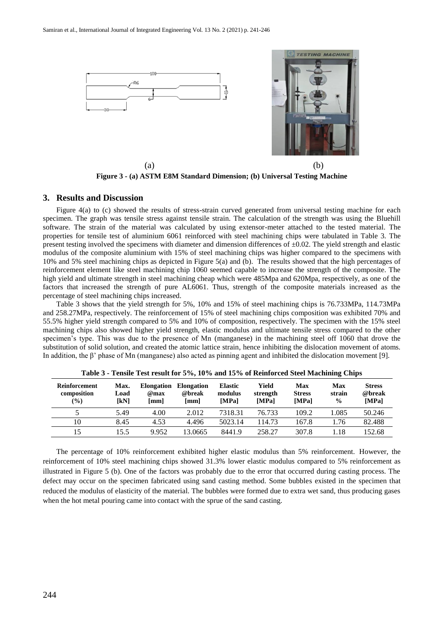

**Figure 3** *-* **(a) ASTM E8M Standard Dimension; (b) Universal Testing Machine**

#### **3. Results and Discussion**

Figure 4(a) to (c) showed the results of stress-strain curved generated from universal testing machine for each specimen. The graph was tensile stress against tensile strain. The calculation of the strength was using the Bluehill software. The strain of the material was calculated by using extensor-meter attached to the tested material. The properties for tensile test of aluminium 6061 reinforced with steel machining chips were tabulated in Table 3. The present testing involved the specimens with diameter and dimension differences of  $\pm 0.02$ . The yield strength and elastic modulus of the composite aluminium with 15% of steel machining chips was higher compared to the specimens with 10% and 5% steel machining chips as depicted in Figure 5(a) and (b). The results showed that the high percentages of reinforcement element like steel machining chip 1060 seemed capable to increase the strength of the composite. The high yield and ultimate strength in steel machining cheap which were 485Mpa and 620Mpa, respectively, as one of the factors that increased the strength of pure AL6061. Thus, strength of the composite materials increased as the percentage of steel machining chips increased.

Table 3 shows that the yield strength for 5%, 10% and 15% of steel machining chips is 76.733MPa, 114.73MPa and 258.27MPa, respectively. The reinforcement of 15% of steel machining chips composition was exhibited 70% and 55.5% higher yield strength compared to 5% and 10% of composition, respectively. The specimen with the 15% steel machining chips also showed higher yield strength, elastic modulus and ultimate tensile stress compared to the other specimen's type. This was due to the presence of Mn (manganese) in the machining steel off 1060 that drove the substitution of solid solution, and created the atomic lattice strain, hence inhibiting the dislocation movement of atoms. In addition, the β' phase of Mn (manganese) also acted as pinning agent and inhibited the dislocation movement [9].

| Reinforcement<br>composition<br>$\frac{6}{2}$ | Max.<br>Load<br>[kN] | <b>Elongation</b><br>@max<br>[mm] | <b>Elongation</b><br>@break<br>[mm] | <b>Elastic</b><br>modulus<br>[MPa] | Yield<br>strength<br>[MPa] | Max<br><b>Stress</b><br>[MPa] | Max<br>strain<br>$\frac{0}{0}$ | <b>Stress</b><br>@break<br>[MPa] |
|-----------------------------------------------|----------------------|-----------------------------------|-------------------------------------|------------------------------------|----------------------------|-------------------------------|--------------------------------|----------------------------------|
|                                               | 5.49                 | 4.00                              | 2.012                               | 7318.31                            | 76.733                     | 109.2                         | 1.085                          | 50.246                           |
| 10                                            | 8.45                 | 4.53                              | 4.496                               | 5023.14                            | 114.73                     | 167.8                         | 1.76                           | 82.488                           |
| 15                                            | 15.5                 | 9.952                             | 13.0665                             | 8441.9                             | 258.27                     | 307.8                         | .18                            | 152.68                           |

**Table 3 - Tensile Test result for 5%, 10% and 15% of Reinforced Steel Machining Chips**

The percentage of 10% reinforcement exhibited higher elastic modulus than 5% reinforcement. However, the reinforcement of 10% steel machining chips showed 31.3% lower elastic modulus compared to 5% reinforcement as illustrated in Figure 5 (b). One of the factors was probably due to the error that occurred during casting process. The defect may occur on the specimen fabricated using sand casting method. Some bubbles existed in the specimen that reduced the modulus of elasticity of the material. The bubbles were formed due to extra wet sand, thus producing gases when the hot metal pouring came into contact with the sprue of the sand casting.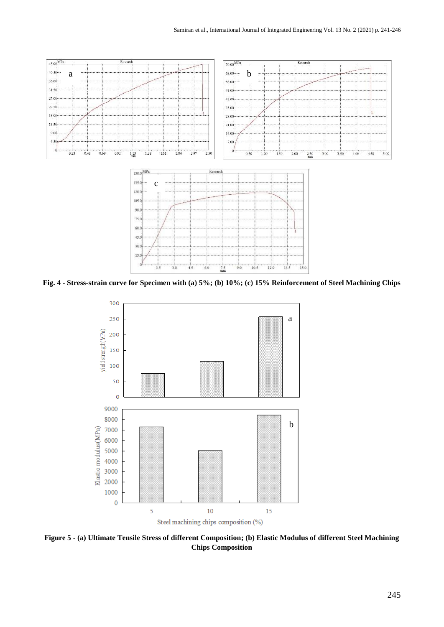

**Fig. 4** *-* **Stress-strain curve for Specimen with (a) 5%; (b) 10%; (c) 15% Reinforcement of Steel Machining Chips**



**Figure 5 - (a) Ultimate Tensile Stress of different Composition; (b) Elastic Modulus of different Steel Machining Chips Composition**